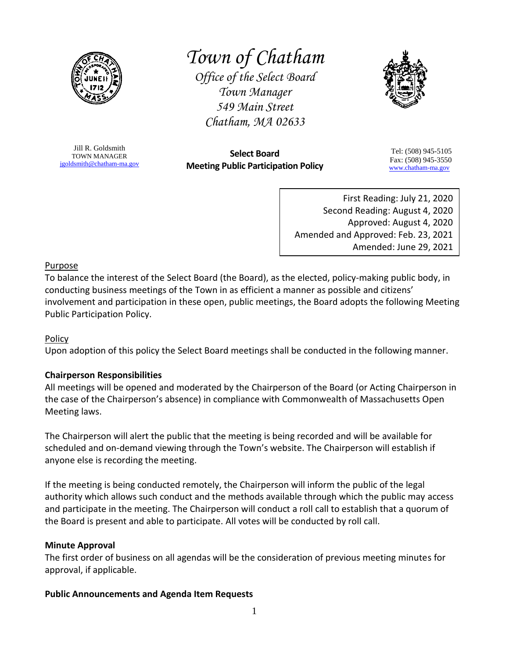

# *Town of Chatham*

*Office of the Select Board Town Manager 549 Main Street Chatham, MA 02633*



Jill R. Goldsmith TOWN MANAGER [jgoldsmith@chatham-ma.gov](mailto:jgoldsmith@chatham-ma.gov)

**Select Board Meeting Public Participation Policy**

Tel: (508) 945-5105 Fax: (508) 945-3550 [www.chatham-ma.gov](http://www.chatham-ma.gov/)

First Reading: July 21, 2020 Second Reading: August 4, 2020 Approved: August 4, 2020 Amended and Approved: Feb. 23, 2021 Amended: June 29, 2021

## Purpose

To balance the interest of the Select Board (the Board), as the elected, policy-making public body, in conducting business meetings of the Town in as efficient a manner as possible and citizens' involvement and participation in these open, public meetings, the Board adopts the following Meeting Public Participation Policy.

# Policy

Upon adoption of this policy the Select Board meetings shall be conducted in the following manner.

# **Chairperson Responsibilities**

All meetings will be opened and moderated by the Chairperson of the Board (or Acting Chairperson in the case of the Chairperson's absence) in compliance with Commonwealth of Massachusetts Open Meeting laws.

The Chairperson will alert the public that the meeting is being recorded and will be available for scheduled and on-demand viewing through the Town's website. The Chairperson will establish if anyone else is recording the meeting.

If the meeting is being conducted remotely, the Chairperson will inform the public of the legal authority which allows such conduct and the methods available through which the public may access and participate in the meeting. The Chairperson will conduct a roll call to establish that a quorum of the Board is present and able to participate. All votes will be conducted by roll call.

#### **Minute Approval**

The first order of business on all agendas will be the consideration of previous meeting minutes for approval, if applicable.

# **Public Announcements and Agenda Item Requests**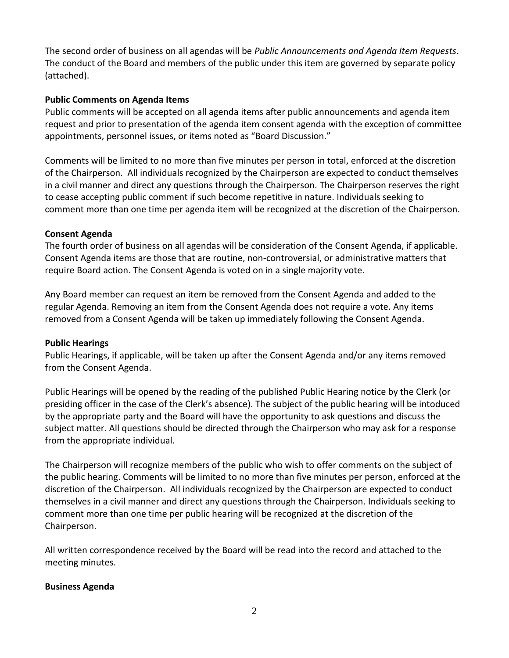The second order of business on all agendas will be *Public Announcements and Agenda Item Requests*. The conduct of the Board and members of the public under this item are governed by separate policy (attached).

#### **Public Comments on Agenda Items**

Public comments will be accepted on all agenda items after public announcements and agenda item request and prior to presentation of the agenda item consent agenda with the exception of committee appointments, personnel issues, or items noted as "Board Discussion."

Comments will be limited to no more than five minutes per person in total, enforced at the discretion of the Chairperson. All individuals recognized by the Chairperson are expected to conduct themselves in a civil manner and direct any questions through the Chairperson. The Chairperson reserves the right to cease accepting public comment if such become repetitive in nature. Individuals seeking to comment more than one time per agenda item will be recognized at the discretion of the Chairperson.

## **Consent Agenda**

The fourth order of business on all agendas will be consideration of the Consent Agenda, if applicable. Consent Agenda items are those that are routine, non-controversial, or administrative matters that require Board action. The Consent Agenda is voted on in a single majority vote.

Any Board member can request an item be removed from the Consent Agenda and added to the regular Agenda. Removing an item from the Consent Agenda does not require a vote. Any items removed from a Consent Agenda will be taken up immediately following the Consent Agenda.

#### **Public Hearings**

Public Hearings, if applicable, will be taken up after the Consent Agenda and/or any items removed from the Consent Agenda.

Public Hearings will be opened by the reading of the published Public Hearing notice by the Clerk (or presiding officer in the case of the Clerk's absence). The subject of the public hearing will be intoduced by the appropriate party and the Board will have the opportunity to ask questions and discuss the subject matter. All questions should be directed through the Chairperson who may ask for a response from the appropriate individual.

The Chairperson will recognize members of the public who wish to offer comments on the subject of the public hearing. Comments will be limited to no more than five minutes per person, enforced at the discretion of the Chairperson. All individuals recognized by the Chairperson are expected to conduct themselves in a civil manner and direct any questions through the Chairperson. Individuals seeking to comment more than one time per public hearing will be recognized at the discretion of the Chairperson.

All written correspondence received by the Board will be read into the record and attached to the meeting minutes.

#### **Business Agenda**